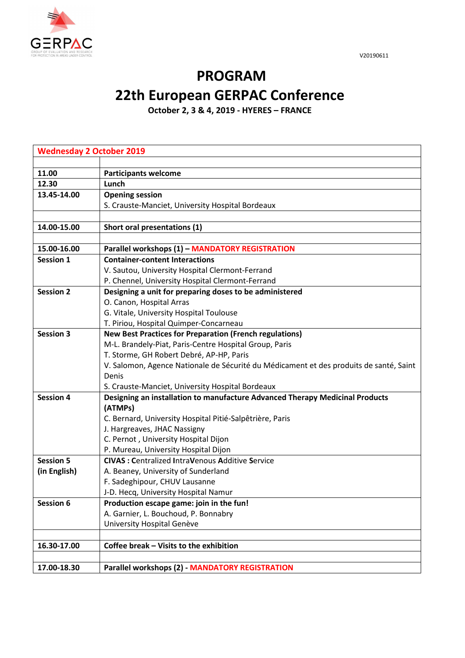



## **PROGRAM 22th European GERPAC Conference**

**October 2, 3 & 4, 2019 - HYERES – FRANCE**

| <b>Wednesday 2 October 2019</b> |                                                                                        |  |
|---------------------------------|----------------------------------------------------------------------------------------|--|
|                                 |                                                                                        |  |
| 11.00                           | <b>Participants welcome</b>                                                            |  |
| 12.30                           | Lunch                                                                                  |  |
| 13.45-14.00                     | <b>Opening session</b>                                                                 |  |
|                                 | S. Crauste-Manciet, University Hospital Bordeaux                                       |  |
|                                 |                                                                                        |  |
| 14.00-15.00                     | Short oral presentations (1)                                                           |  |
|                                 |                                                                                        |  |
| 15.00-16.00                     | Parallel workshops (1) - MANDATORY REGISTRATION                                        |  |
| <b>Session 1</b>                | <b>Container-content Interactions</b>                                                  |  |
|                                 | V. Sautou, University Hospital Clermont-Ferrand                                        |  |
|                                 | P. Chennel, University Hospital Clermont-Ferrand                                       |  |
| <b>Session 2</b>                | Designing a unit for preparing doses to be administered                                |  |
|                                 | O. Canon, Hospital Arras                                                               |  |
|                                 | G. Vitale, University Hospital Toulouse                                                |  |
|                                 | T. Piriou, Hospital Quimper-Concarneau                                                 |  |
| <b>Session 3</b>                | <b>New Best Practices for Preparation (French regulations)</b>                         |  |
|                                 | M-L. Brandely-Piat, Paris-Centre Hospital Group, Paris                                 |  |
|                                 | T. Storme, GH Robert Debré, AP-HP, Paris                                               |  |
|                                 | V. Salomon, Agence Nationale de Sécurité du Médicament et des produits de santé, Saint |  |
|                                 | Denis                                                                                  |  |
|                                 | S. Crauste-Manciet, University Hospital Bordeaux                                       |  |
| <b>Session 4</b>                | Designing an installation to manufacture Advanced Therapy Medicinal Products           |  |
|                                 | (ATMPs)                                                                                |  |
|                                 | C. Bernard, University Hospital Pitié-Salpêtrière, Paris                               |  |
|                                 | J. Hargreaves, JHAC Nassigny                                                           |  |
|                                 | C. Pernot, University Hospital Dijon                                                   |  |
|                                 | P. Mureau, University Hospital Dijon                                                   |  |
| <b>Session 5</b>                | <b>CIVAS: Centralized IntraVenous Additive Service</b>                                 |  |
| (in English)                    | A. Beaney, University of Sunderland                                                    |  |
|                                 | F. Sadeghipour, CHUV Lausanne                                                          |  |
|                                 | J-D. Hecq, University Hospital Namur                                                   |  |
| Session 6                       | Production escape game: join in the fun!                                               |  |
|                                 | A. Garnier, L. Bouchoud, P. Bonnabry                                                   |  |
|                                 | University Hospital Genève                                                             |  |
|                                 |                                                                                        |  |
| 16.30-17.00                     | Coffee break – Visits to the exhibition                                                |  |
| 17.00-18.30                     | <b>Parallel workshops (2) - MANDATORY REGISTRATION</b>                                 |  |
|                                 |                                                                                        |  |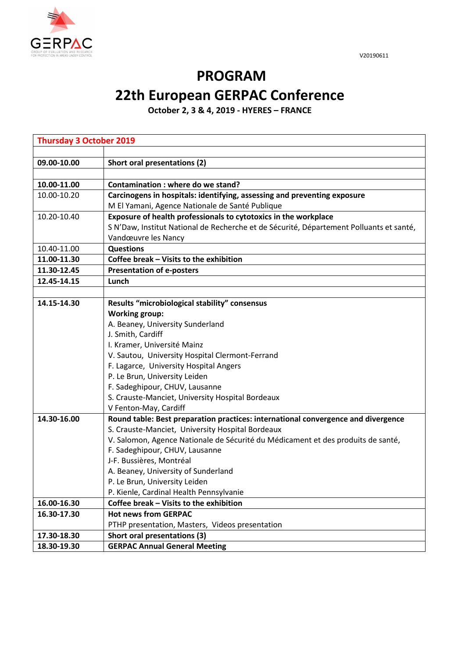



## **PROGRAM 22th European GERPAC Conference**

**October 2, 3 & 4, 2019 - HYERES – FRANCE**

| <b>Thursday 3 October 2019</b> |                                                                                         |  |
|--------------------------------|-----------------------------------------------------------------------------------------|--|
|                                |                                                                                         |  |
| 09.00-10.00                    | Short oral presentations (2)                                                            |  |
|                                |                                                                                         |  |
| 10.00-11.00                    | Contamination: where do we stand?                                                       |  |
| 10.00-10.20                    | Carcinogens in hospitals: identifying, assessing and preventing exposure                |  |
|                                | M El Yamani, Agence Nationale de Santé Publique                                         |  |
| 10.20-10.40                    | Exposure of health professionals to cytotoxics in the workplace                         |  |
|                                | S N'Daw, Institut National de Recherche et de Sécurité, Département Polluants et santé, |  |
|                                | Vandœuvre les Nancy                                                                     |  |
| 10.40-11.00                    | <b>Questions</b>                                                                        |  |
| 11.00-11.30                    | Coffee break - Visits to the exhibition                                                 |  |
| 11.30-12.45                    | <b>Presentation of e-posters</b>                                                        |  |
| 12.45-14.15                    | Lunch                                                                                   |  |
|                                |                                                                                         |  |
| 14.15-14.30                    | Results "microbiological stability" consensus                                           |  |
|                                | <b>Working group:</b>                                                                   |  |
|                                | A. Beaney, University Sunderland                                                        |  |
|                                | J. Smith, Cardiff                                                                       |  |
|                                | I. Kramer, Université Mainz                                                             |  |
|                                | V. Sautou, University Hospital Clermont-Ferrand                                         |  |
|                                | F. Lagarce, University Hospital Angers                                                  |  |
|                                | P. Le Brun, University Leiden                                                           |  |
|                                | F. Sadeghipour, CHUV, Lausanne                                                          |  |
|                                | S. Crauste-Manciet, University Hospital Bordeaux                                        |  |
|                                | V Fenton-May, Cardiff                                                                   |  |
| 14.30-16.00                    | Round table: Best preparation practices: international convergence and divergence       |  |
|                                | S. Crauste-Manciet, University Hospital Bordeaux                                        |  |
|                                | V. Salomon, Agence Nationale de Sécurité du Médicament et des produits de santé,        |  |
|                                | F. Sadeghipour, CHUV, Lausanne                                                          |  |
|                                | J-F. Bussières, Montréal                                                                |  |
|                                | A. Beaney, University of Sunderland                                                     |  |
|                                | P. Le Brun, University Leiden                                                           |  |
|                                | P. Kienle, Cardinal Health Pennsylvanie                                                 |  |
| 16.00-16.30                    | Coffee break - Visits to the exhibition                                                 |  |
| 16.30-17.30                    | <b>Hot news from GERPAC</b>                                                             |  |
|                                | PTHP presentation, Masters, Videos presentation                                         |  |
| 17.30-18.30                    | Short oral presentations (3)                                                            |  |
| 18.30-19.30                    | <b>GERPAC Annual General Meeting</b>                                                    |  |